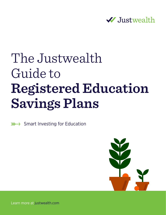

# The Justwealth Guide to **Registered Education Savings Plans**

 $\mathbb{R} \rightarrow$  Smart Investing for Education



Justwealth The Justwealth Guide to Registered Education Savings Plans 1 Learn more at justwealth.com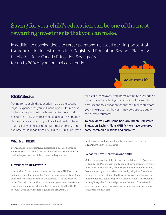# Saving for your child's education can be one of the most rewarding investments that you can make.

In addition to opening doors to career paths and increased earning potential for your child, investments in a Registered Education Savings Plan may be eligible for a Canada Education Savings Grant for up to 20% of your annual contribution!



#### **RESP Basics**

Paying for your child's education may be the second largest expense that you will incur in your lifetime next to the cost of purchasing a home. While the annual cost of education may vary greatly depending on the program chosen, province or country of the educational institution and the living expenses required, a reasonable current estimate could range from \$15,000 to \$25,000 per year

#### What is an RESP?

From a practical perspective, a Registered Education Savings Plan (RESP or "the Plan") is a tax-sheltered investment account used to help save for a child's post-secondary education.

#### How does an RESP work?

A subscriber (for example a parent) will open an RESP account and make contributions to the Plan. The subscriber will designate one or more beneficiaries to be the recipient(s) of the proceeds of the Plan. All contributions, government grants and investment income accumulate on a tax-sheltered basis within the RESP account. Upon enrollment in a qualifying program at a

for a child living away from home attending a college or university in Canada. If your child will not be enrolling in post-secondary education for another 10 or more years, you can expect that the costs may be close to double the current estimates.

To provide you with some background on Registered Education Savings Plans (RESPs), we have prepared some common questions and answers:

post-secondary educational institution, proceeds from the RESP may begin to be paid out.

#### What if I have more than one child?

Subscribers have the ability to open up Individual RESP accounts or Family RESP accounts. Family plans allow subscribers to name more than one beneficiary in an RESP, but each beneficiary must be connected by a blood relationship or by adoption. One of the benefits of a family plan is that the proceeds can be allocated to the beneficiaries in any proportion that you wish, it does not have to be split equally. Individual plans may be used if there is only one beneficiary, or in cases where multiple beneficiaries do not qualify for a family plan.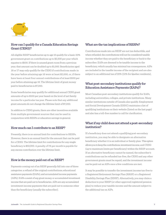

#### How can I qualify for a Canada Education Savings Grant (CESG)?

All eligible RESP beneficiaries up to age 15 qualify for a basic 20% government grant on contributions up to \$2,500 per year which equates to \$500. If there is unused grant room from a previous year, that amount can be doubled up to \$1,000. Beneficiaries aged 16 or 17 may only qualify for the CESG if contributions made in the year before attaining age 16 were at least \$2,000, or, if there have been at least four annual contributions of at least \$100 per year before attaining age 16. The lifetime limit of grant money paid to beneficiaries is \$7,200.

Some beneficiaries may qualify for additional annual CESG grant amounts of up to \$100 per year based on the level of net family income for a particular tax year. Please note that any additional grant amounts do not change the lifetime limit of \$7,200.

In addition to CESG grants, there are other incentives available from multiple government sources that can be used in conjunction with RESPs or education savings in general.

#### How much can I contribute to an RESP?

Presently, there is no annual limit for contributions to RESPs. However, there is an annual limit for the amount that can be paid for a CESG. The lifetime limit for contributions for any single beneficiary is \$50,000. A penalty of 1% per month is payable for any excess contribution over the lifetime limit.

#### How is the money paid out of an RESP?

Payments coming out of an RESP generally fall into one of three categories: a refund of the original contributions; educational assistance payments (EAPs); and accumulated income payments (AIPs). EAPs consist of any grant money or accumulated investment income that are paid out to beneficiaries. AIPs are any accumulated investment income payments that are paid out to someone other than the beneficiary (usually the subscriber).

#### What are the tax implications of RESPs?

Contributions made into an RESP are not tax deductible, and when refunded, the contributions will not be considered taxable income whether they are paid to the beneficiary or back to the subscriber. EAPs are deemed to be taxable income to the beneficiary, which usually has minimal tax consequences. AIPs are included in the taxable income of the recipient and are also subject to an additional tax of 20% (12% for Quebec residents).

#### What post-secondary institutions qualify for Education Assistance Payments (EAPs)?

Most Canadian post-secondary institutions qualify for EAPs, including universities, colleges, and private institutions. Many similar institutions outside of Canada also qualify. Employment and Social Development Canada (ESDC) maintains a list of qualifying institutions on their website (listed on the last page) and also has a toll-free number to call for clarification.

#### What if my child does not attend a post-secondary institution?

If a beneficiary does not attend a qualifying post-secondary institution, you may be able to designate an alternative beneficiary whether it is an individual or family plan. This option allows you to keep the contributions, investment income, and CESG (up to maximum limits per beneficiary) within the RESP account. If an alternative beneficiary cannot be named, the subscriber's contributions can be refunded tax-free, the CESG and any other government grants must be repaid, and the investment income can be paid out as AIPs once a few conditions are met.

It may be possible to transfer the investment income tax-free to a Registered Retirement Savings Plan (RRSP) or a Registered Disability Savings Plan (RDSP). Alternatively, you may claim a deduction to your RRSP (or other approved registered pension plan) to reduce your taxable income and the amount subject to the additional tax on AIPs.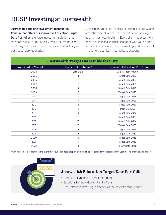# RESP Investing at Justwealth

Justwealth is the only investment manager in Canada that offers our innovative Education Target Date Portfolios: a unique investment solution that transforms itself automatically over time, eventually "maturing" in the exact year that your child will begin post-secondary education.

Subscribers who open up an RESP account at Justwealth are entitled to all of the same benefits and privileges as other Justwealth clients. Every client has access to a dedicated Personal Portfolio Manager who will be able to provide financial advice, counselling, and oversee all investment activity in your private account.

| <b>Justwealth Target Date Guide for 2022</b> |                      |                                |
|----------------------------------------------|----------------------|--------------------------------|
| Your Child's Year of Birth                   | Years to Enrollment* | Justwealth Education Portfolio |
| 2004                                         | Less than 1          | <b>Capital Preservation</b>    |
| 2005                                         | 1                    | Target Date 2023               |
| 2006                                         | $\overline{2}$       | Target Date 2024               |
| 2007                                         | 3                    | Target Date 2025               |
| 2008                                         | 4                    | Target Date 2026               |
| 2009                                         | 5                    | Target Date 2027               |
| 2010                                         | 6                    | Target Date 2028               |
| 2011                                         | 7                    | Target Date 2029               |
| 2012                                         | 8                    | Target Date 2030               |
| 2013                                         | 9                    | Target Date 2031               |
| 2014                                         | 10 <sup>°</sup>      | Target Date 2032               |
| 2015                                         | 11                   | Target Date 2033               |
| 2016                                         | 12                   | Target Date 2034               |
| 2017                                         | 13                   | Target Date 2035               |
| 2018                                         | 14                   | Target Date 2036               |
| 2019                                         | 15                   | Target Date 2037               |
| 2020                                         | 16                   | Target Date 2038               |
| 2021                                         | 17                   | Target Date 2039               |
| 2022                                         | 18                   | Target Date 2040               |

\* Can be used as a reference in the event that your child does not plan on attending post-secondary education in the year that he or she attains age 18.



### **Justwealth Education Target Date Portfolios**

- Perfectly aligned with enrollment dates
- Solutions for Individual or Family Plans
- Cost-effective investing: a fraction of the cost of a mutual fund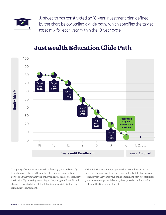

Justwealth has constructed an 18-year investment plan defined by the chart below (called a glide path) which specifies the target asset mix for each year within the 18-year cycle.

#### 100 90 80 70 60 50 40 30 20 10  $\Omega$ 1, 2, 3… **Equity Risk %** Years **until Enrollment** Years **Enrolled** 18 15 12 9 6 3 0 **Target** Date **2040 Target** Date **2037** Target Date **2034** Target Date **2031** Target Date **2028** Target Date **2025 Justwealth Capital Preservation Portfolio**

## **Justwealth Education Glide Path**

The glide path emphasizes growth in the early years and smartly transitions over time to the Justwealth Capital Preservation Portfolio in the year that your child will enroll in a post-secondary institution. By investing according to the plan, your Portfolio will always be invested at a risk level that is appropriate for the time remaining to enrollment.

Other RESP investment programs that do not have an asset mix that changes over time, or have a maturity date that does not coincide with the year of your child's enrollment, may not maximize your investment potential or may be exposed to undue market risk near the time of enrollment.